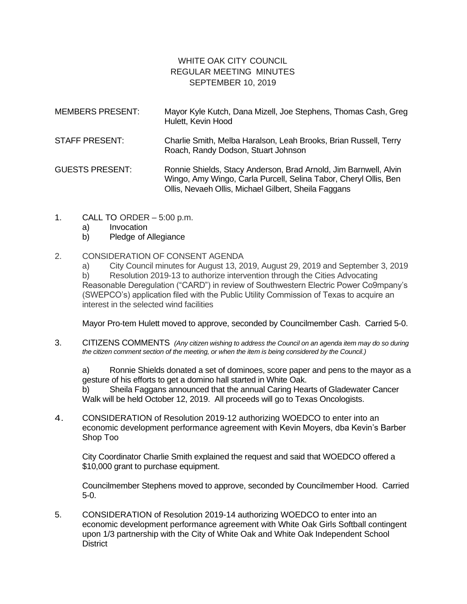## WHITE OAK CITY COUNCIL REGULAR MEETING MINUTES SEPTEMBER 10, 2019

| <b>MEMBERS PRESENT:</b> | Mayor Kyle Kutch, Dana Mizell, Joe Stephens, Thomas Cash, Greg<br>Hulett, Kevin Hood                                                                                                         |
|-------------------------|----------------------------------------------------------------------------------------------------------------------------------------------------------------------------------------------|
| STAFF PRESENT:          | Charlie Smith, Melba Haralson, Leah Brooks, Brian Russell, Terry<br>Roach, Randy Dodson, Stuart Johnson                                                                                      |
| <b>GUESTS PRESENT:</b>  | Ronnie Shields, Stacy Anderson, Brad Arnold, Jim Barnwell, Alvin<br>Wingo, Amy Wingo, Carla Purcell, Selina Tabor, Cheryl Ollis, Ben<br>Ollis, Nevaeh Ollis, Michael Gilbert, Sheila Faggans |

- 1. CALL TO ORDER 5:00 p.m.
	- a) Invocation
	- b) Pledge of Allegiance

## 2. CONSIDERATION OF CONSENT AGENDA

a) City Council minutes for August 13, 2019, August 29, 2019 and September 3, 2019 b) Resolution 2019-13 to authorize intervention through the Cities Advocating Reasonable Deregulation ("CARD") in review of Southwestern Electric Power Co9mpany's (SWEPCO's) application filed with the Public Utility Commission of Texas to acquire an interest in the selected wind facilities

Mayor Pro-tem Hulett moved to approve, seconded by Councilmember Cash. Carried 5-0.

3. CITIZENS COMMENTS *(Any citizen wishing to address the Council on an agenda item may do so during the citizen comment section of the meeting, or when the item is being considered by the Council.)*

a) Ronnie Shields donated a set of dominoes, score paper and pens to the mayor as a gesture of his efforts to get a domino hall started in White Oak.

b) Sheila Faggans announced that the annual Caring Hearts of Gladewater Cancer Walk will be held October 12, 2019. All proceeds will go to Texas Oncologists.

4. CONSIDERATION of Resolution 2019-12 authorizing WOEDCO to enter into an economic development performance agreement with Kevin Moyers, dba Kevin's Barber Shop Too

City Coordinator Charlie Smith explained the request and said that WOEDCO offered a \$10,000 grant to purchase equipment.

Councilmember Stephens moved to approve, seconded by Councilmember Hood. Carried 5-0.

5. CONSIDERATION of Resolution 2019-14 authorizing WOEDCO to enter into an economic development performance agreement with White Oak Girls Softball contingent upon 1/3 partnership with the City of White Oak and White Oak Independent School **District**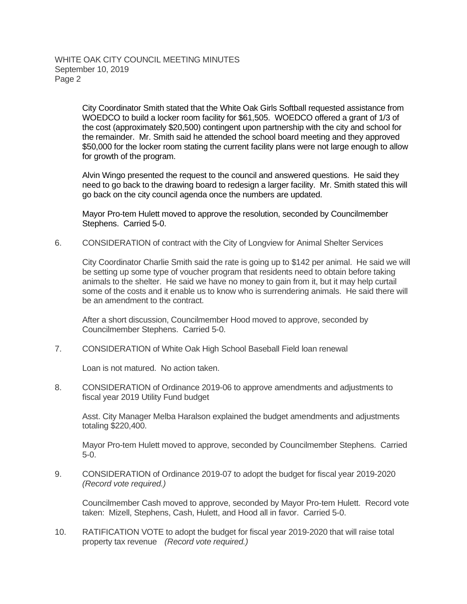City Coordinator Smith stated that the White Oak Girls Softball requested assistance from WOEDCO to build a locker room facility for \$61,505. WOEDCO offered a grant of 1/3 of the cost (approximately \$20,500) contingent upon partnership with the city and school for the remainder. Mr. Smith said he attended the school board meeting and they approved \$50,000 for the locker room stating the current facility plans were not large enough to allow for growth of the program.

Alvin Wingo presented the request to the council and answered questions. He said they need to go back to the drawing board to redesign a larger facility. Mr. Smith stated this will go back on the city council agenda once the numbers are updated.

Mayor Pro-tem Hulett moved to approve the resolution, seconded by Councilmember Stephens. Carried 5-0.

6. CONSIDERATION of contract with the City of Longview for Animal Shelter Services

City Coordinator Charlie Smith said the rate is going up to \$142 per animal. He said we will be setting up some type of voucher program that residents need to obtain before taking animals to the shelter. He said we have no money to gain from it, but it may help curtail some of the costs and it enable us to know who is surrendering animals. He said there will be an amendment to the contract.

After a short discussion, Councilmember Hood moved to approve, seconded by Councilmember Stephens. Carried 5-0.

7. CONSIDERATION of White Oak High School Baseball Field loan renewal

Loan is not matured. No action taken.

8. CONSIDERATION of Ordinance 2019-06 to approve amendments and adjustments to fiscal year 2019 Utility Fund budget

Asst. City Manager Melba Haralson explained the budget amendments and adjustments totaling \$220,400.

Mayor Pro-tem Hulett moved to approve, seconded by Councilmember Stephens. Carried 5-0.

9. CONSIDERATION of Ordinance 2019-07 to adopt the budget for fiscal year 2019-2020 *(Record vote required.)*

Councilmember Cash moved to approve, seconded by Mayor Pro-tem Hulett. Record vote taken: Mizell, Stephens, Cash, Hulett, and Hood all in favor. Carried 5-0.

10. RATIFICATION VOTE to adopt the budget for fiscal year 2019-2020 that will raise total property tax revenue *(Record vote required.)*